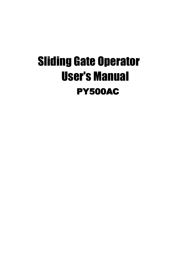# Sliding Gate Operator User's Manual **PY500AC**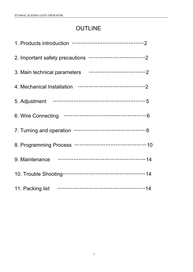# **OUTLINE**

| 5. Adjustment  |
|----------------|
|                |
|                |
|                |
| 9. Maintenance |
|                |
|                |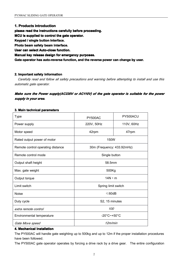#### **1. Products introduction**

**please read the instructions instructionsinstructionscarefully carefullycarefullybefore proceeding. proceeding.**

**MCU is supplied to control the gate operator.**

**Keypad / single button interface. interface.**

**Photo beam safety beam interface.** 

**User can select Auto-close function.** 

**Manual key release design for emergency purposes.** 

Gate operator has auto-reverse function, and the reverse power can change by user.

#### **2. Important safety information information**

*Carefully read and follow all safety precautions and warning before attempting to install and use this automatic gate operator.*

# Make sure the Power supply(AC220V or AC110V) of the gate operator is suitable for the power *supply in your area.*

| <b>Type</b>                       | <b>PY500AC</b>                   | PY500ACU   |
|-----------------------------------|----------------------------------|------------|
| Power supply                      | 220V, 50Hz                       | 110V, 60Hz |
| Motor speed                       | 42rpm                            | 47rpm      |
| Rated output power of motor       | 150W                             |            |
| Remote control operating distance | 30m (Frequency: 433.92mHz)       |            |
| Remote control mode               | Single button                    |            |
| Output shaft height               | 58.5mm                           |            |
| Max. gate weight                  | 500Kg                            |            |
| Output torque                     | $14N \cdot m$                    |            |
| Limit switch                      | Spring limit switch              |            |
| <b>Noise</b>                      | ≤60dB                            |            |
| Duty cycle                        | S2, 15 minutes                   |            |
| extra remote control              | <i>100</i>                       |            |
| Environmental temperature         | $-20^{\circ}$ C $-+50^{\circ}$ C |            |
| Gate Move speed                   | 12m/min                          |            |

#### **3. Main technical technicalparameters parameters**

#### **4. Mechanical Installation Installation**

The PY500AC will handle gate weighting up to 500kg and up to 12m if the proper installation procedures have been followed.

The PY500AC gate operator operates by forcing <sup>a</sup> drive rack by <sup>a</sup> drive gear. The entire configuration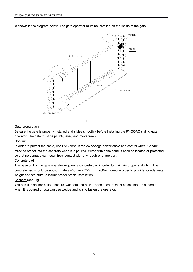is shown in the diagram below. The gate operator must be installed on the inside of the gate.



Fig.1

#### Gate preparation

Be sure the gate is properly installed and slides smoothly before installing the PY500AC sliding gate operator. The gate must be plumb, level, and move freely.

#### **Conduit**

In order to protect the cable, use PVC conduit for low voltage power cable and control wires. Conduit must be preset into the concrete when it is poured. Wires within the conduit shall be located or protected so that no damage can result from contact with any rough or sharp part.

# Concrete pad

The base unit of the gate operator requires <sup>a</sup> concrete pad in order to maintain proper stability. The concrete pad should be approximately 400mm <sup>x</sup> 250mm <sup>x</sup> 200mm deep in order to provide for adequate weight and structure to insure proper stable installation.

# Anchors (see Fig.2)

You can use anchor bolts, anchors, washers and nuts. These anchors must be set into the concrete when it is poured or you can use wedge anchors to fasten the operator.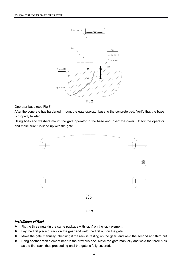

Operator base (see Fig.3)

After the concrete has hardened, mount the gate operator base to the concrete pad. Verify that the base is properly leveled.

Using bolts and washers mount the gate operator to the base and insert the cover. Check the operator and make sure it is lined up with the gate.





# *Installation Installation InstallationInstallationof Rack*

- �Fix the three nuts (in the same package with rack) on the rack element.
- �Lay the first piece of rack on the gear and weld the first nut on the gate.
- �Move the gate manually, checking if the rack is resting on the gear, and weld the second and third nut.
- � Bring another rack element near to the previous one. Move the gate manually and weld the three nuts as the first rack, thus proceeding until the gate is fully covered.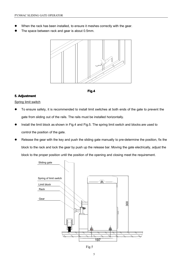- �When the rack has been installed, to ensure it meshes correctly with the gear.
- �The space between rack and gear is about 0.5mm.





# **5. Adjustment Adjustment Adjustment**

Spring limit switch

- � To ensure safety, it is recommended to install limit switches at both ends of the gate to prevent the gate from sliding out of the rails. The rails must be installed horizontally.
- � Install the limit block as shown in Fig.4 and Fig.5. The spring limit switch and blocks are used to control the position of the gate.
- �Release the gear with the key and push the sliding gate manually to pre-determine the position, fix the block to the rack and lock the gear by push up the release bar. Moving the gate electrically, adjust the block to the proper position until the position of the opening and closing meet the requirement.



Fig.5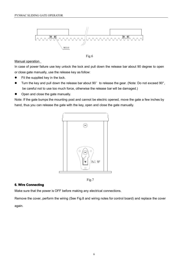

Fig.6

#### **Manual operation**

In case of power failure use key unlock the lock and pull down the release bar about 90 degree to open or close gate manually, use the release key as follow:

- �Fit the supplied key in the lock.
- $\bullet$ Turn the key and pull down the release bar about 90° to release the gear. (Note: Do not exceed 90°, be careful not to use too much force, otherwise the release bar will be damaged.)
- $\bullet$ Open and close the gate manually.

Note: If the gate bumps the mounting post and cannot be electric opened, move the gate <sup>a</sup> few inches by hand, thus you can release the gate with the key, open and close the gate manually.



Fig.7

#### **6. Wire Connecting**

Make sure that the power is OFF before making any electrical connections.

Remove the cover, perform the wiring (See Fig.8 and wiring notes for control board) and replace the cover

again.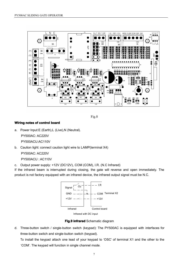

Fig.8

#### **Wiring notes of control control board**

a. Power Input:E (Earth),L (Live),N (Neutral).

PY500AC: AC220V

PY500ACU:AC110V

b. Caution light: connect caution light wire to LAMP(terminal X4)

PY500AC: AC220V

```
PY500ACU : AC110V
```
c. Output power supply: +12V (DC12V), COM (COM), I.R. (N.C Infrared)

If the infrared beam is interrupted during closing, the gate will reverse and open immediately. The product is not factory equipped with an infrared device, the infrared output signal must be N.C.



**Fig.9 infrared** Schematic diagram

d. Three-button switch / single-button switch (keypad): The PY500AC is equipped with interfaces for three-button switch and single-button switch (keypad).

To install the keypad attach one lead of your keypad to 'OSC' of terminal X1 and the other to the 'COM'. The keypad will function in single channel mode.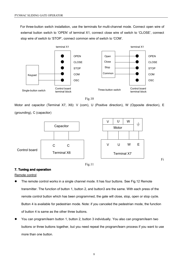For three-button switch installation, use the terminals for multi-channel mode. Connect open wire of external button switch to 'OPEN' of terminal X1, connect close wire of switch to 'CLOSE', connect stop wire of switch to 'STOP', connect common wire of switch to 'COM'.





Motor and capacitor (Terminal X7, X6): V (com), U (Positive direction), W (Opposite direction), E (grounding), C (capacitor)





Fi

# **7. Tuning and operation operation operationoperation**

Remote control

- � The remote control works in <sup>a</sup> single channel mode. It has four buttons. See Fig.12 Remote transmitter. The function of button 1, button 2, and button3 are the same. With each press of the remote control button which has been programmed, the gate will close, stop, open or stop cycle. Button 4 is available for pedestrian mode. Note: if you canceled the pedestrian mode, the function of button 4 is same as the other three buttons.
- � You can program/learn button 1, button 2, button 3 individually. You also can program/learn two buttons or three buttons together, but you need repeat the program/learn process if you want to use more than one button.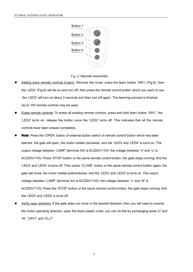

Fig.12 Remote transmitter

- � Adding extra remote controls (Learn): Remove the cover, press the learn button 'SW1' (Fig.8), then the 'LED2' (Fig.8) will be on and turn off, then press the remote control button which you want to use, the 'LED2' will turn on about 2 seconds and then turn off again. The learning process is finished. Up to 100 remote controls may be used.
- � Erase remote controls: To erase all existing remote controls, press and hold learn button 'SW1', the 'LED2' turns on, release the button once the 'LED2' turns off. This indicates that all the remote controls have been erased completely.
- � **Note**: Press the 'OPEN' button of external button switch or remote control button which has been learned, the gate will open, the motor rotates clockwise, and the 'LED3' and 'LED4' is turns on. The output voltage between 'LAMP' (terminal X4) is AC220V/110V, the voltage between 'V' and 'U' is AC220V/110V. Press 'STOP' button or the same remote control button, the gate stops running. And the 'LED3' and 'LED4' is turns off. Then press 'CLOSE' button or the same remote control button again, the gate will close, the motor rotates anticlockwise, and the 'LED3' and 'LED5' is turns on. The output voltage between 'LAMP' (terminal X4) is AC220V/110V, the voltage between 'V' and 'W' is AC220V/110V. Press the 'STOP' button or the same remote control button, the gate stops running. And the 'LED3' and 'LED5' is turns off.
- � Verify open direction: If the gate does not move in the desired direction, then you will need to reverse the motor operating direction, open the black plastic cover, you can do this by exchanging wires 'U' and 'W', 'OPLT' and 'CLLT'.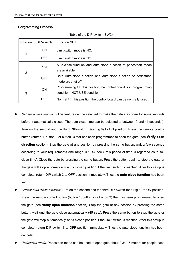#### **8. Porgramming PorgrammingPorgrammingPorgramming Process Process**

| <b>Position</b> | DIP-switch | <b>Function SET</b>                                                                                 |
|-----------------|------------|-----------------------------------------------------------------------------------------------------|
|                 | ON.        | Limit switch mode is NC.                                                                            |
| 1               | OFF.       | Limit switch mode is NO.                                                                            |
|                 | ON.        | Auto-close function and auto-close function of pedestrian mode<br>are available.                    |
| 2               | <b>OFF</b> | Both Auto-close function and auto-close function of pedestrian<br>mode are shut off.                |
| 3               | <b>ON</b>  | Programming / In this position the control board is in programming<br>condition, NOT USE condition. |
|                 | OFF        | Normal / In this position the control board can be normally used.                                   |

Table of the DIP-switch (SW2)

- � *Set auto-close function:* (This feature can be selected to make the gate stay open for some seconds before it automatically closes. The auto-close time can be adjusted to between 0 and 44 seconds.): Turn on the second and the third DIP-switch (See Fig.8) to ON position. Press the remote control button (button 1, button 2 or button 3) that has been programmed to open the gate (see **Verify open direction** section). Stop the gate at any position by pressing the same button, wait a few seconds according to your requirements (the range is 1~44 sec.), this period of time is regarded as 'autoclose time'. Close the gate by pressing the same button. Press the button again to stop the gate or the gate will stop automatically at its closed position if the limit switch is reached. After this setup is complete, return DIP-switch 3 to OFF position immediately. Thus the **auto-close function** has been set.
- � *Cancel auto-close function:* Turn on the second and the third DIP-switch (see Fig.8) to ON position. Press the remote control button (button 1, button 2 or button 3) that has been programmed to open the gate (see **Verify open direction direction** section). Stop the gate at any position by pressing the same button, wait until the gate close automatically (45 sec.). Press the same button to stop the gate or the gate will stop automatically at its closed position if the limit switch is reached. After this setup is complete, return DIP-switch 3 to OFF position immediately. Thus the auto-close function has been canceled.
- �*Pedestrian mode:* Pedestrian mode can be used to open gate about 0.3~1.5 meters for people pass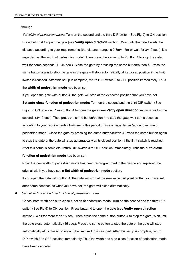through.

*Set width of pedestrian mode:* Turn on the second and the third DIP-switch (See Fig.9) to ON position. Press button 4 to open the gate (see **Verify open direction** section), Wait until the gate travels the distance according to your requirements (the distance range is 0.3m~1.5m or wait for 3~10 sec.), it is regarded as 'the width of pedestrian mode'. Then press the same button/button 4 to stop the gate, wait for some seconds (1~44 sec.). Close the gate by pressing the same button/button 4. Press the same button again to stop the gate or the gate will stop automatically at its closed position if the limit switch is reached. After this setup is complete, return DIP-switch 3 to OFF position immediately. Thus the **width of pedestrian mode** has been set.

If you open the gate with button 4, the gate will stop at the expected position that you have set.

**Set auto-close function of pedestrian mode:** Turn on the second and the third DIP-switch (See Fig.9) to ON position. Press button 4 to open the gate (see **Verify open direction direction**section), wait some seconds (3~10 sec.). Then press the same button/button 4 to stop the gate, wait some seconds according to your requirements (1~44 sec.), this period of time is regarded as 'auto-close time of pedestrian mode'. Close the gate by pressing the same button/button 4. Press the same button again to stop the gate or the gate will stop automatically at its closed position if the limit switch is reached. After this setup is complete, return DIP-switch 3 to OFF position immediately. Thus the **auto-close auto-close**

#### **function of pedestrian mode** has been set.

Note: the new width of pedestrian mode has been re-programmed in the device and replaced the original width you have set in **Set width of pedestrian pedestrianmode** section.

If you open the gate with button 4, the gate will stop at the new expected position that you have set, after some seconds as what you have set, the gate will close automatically.

�*Cancel width / auto-close function of pedestrian mode*

Cancel both width and auto-close function of pedestrian mode: Turn on the second and the third DIPswitch (See Fig.9) to ON position. Press button 4 to open the gate (see **Verify open direction direction** section). Wait for more than 15 sec.. Then press the same button/button 4 to stop the gate. Wait until the gate close automatically (45 sec.). Press the same button to stop the gate or the gate will stop automatically at its closed position if the limit switch is reached. After this setup is complete, return DIP-switch 3 to OFF position immediately. Thus the width and auto-close function of pedestrian mode have been canceled.

11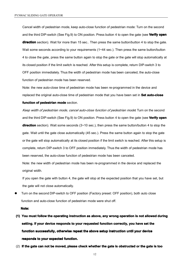Cancel width of pedestrian mode, keep auto-close function of pedestrian mode: Turn on the second and the third DIP-switch (See Fig.9) to ON position. Press button 4 to open the gate (see **Verify open direction** section). Wait for more than 15 sec.. Then press the same button/button 4 to stop the gate. Wait some seconds according to your requirements  $(1 - 44 \text{ sec.})$ . Then press the same button/button 4 to close the gate, press the same button again to stop the gate or the gate will stop automatically at its closed position if the limit switch is reached. After this setup is complete, return DIP-switch 3 to OFF position immediately. Thus the width of pedestrian mode has been canceled, the auto-close function of pedestrian mode has been reserved.

Note: the new auto-close time of pedestrian mode has been re-programmed in the device and replaced the original auto-close time of pedestrian mode that you have been set in **Set auto-close auto-close**

#### **function of pedestrian mode** section.

*Keep width of pedestrian mode, cancel auto-close function of pedestrian mode***:** Turn on the second and the third DIP-switch (See Fig.9) to ON position. Press button 4 to open the gate (see **Verify open direction** section). Wait some seconds (3~10 sec.), then press the same button/button 4 to stop the gate. Wait until the gate close automatically (45 sec.). Press the same button again to stop the gate or the gate will stop automatically at its closed position if the limit switch is reached. After this setup is complete, return DIP-switch 3 to OFF position immediately. Thus the width of pedestrian mode has been reserved, the auto-close function of pedestrian mode has been canceled.

Note: the new width of pedestrian mode has been re-programmed in the device and replaced the original width.

If you open the gate with button 4, the gate will stop at the expected position that you have set, but the gate will not close automatically.

**�** Turn on the second DIP-switch to OFF position (Factory preset: OFF position), both auto close function and auto-close function of pedestrian mode were shut off.

#### **Note:**

- (1) You must follow the operating instruction as above, any wrong operation is not allowed during setting. If your device responds to your requested function correctly, you have set the **function successfully successfully, otherwise otherwiserepeat the above setup instruction until your device responds responds to your expected expected function. function. function.**
- (2) If the gate can not be moved, please check whether the gate is obstructed or the gate is too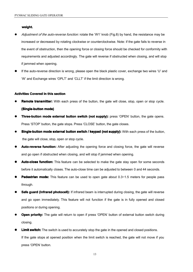**weight. weight.**

- � *Adjustment of the auto-reverse function:* rotate the 'W1' knob (Fig.8) by hand, the resistance may be increased or decreased by rotating clockwise or counterclockwise. Note: if the gate fails to reverse in the event of obstruction, then the opening force or closing force should be checked for conformity with requirements and adjusted accordingly. The gate will reverse if obstructed when closing, and will stop if jammed when opening.
- **�** If the auto-reverse direction is wrong, please open the black plastic cover, exchange two wires 'U' and 'W' and Exchange wires 'OPLT' and 'CLLT' if the limit direction is wrong.

#### **Activities Covered in this section**

- �**Remote transmitter:** With each press of the button, the gate will close, stop, open or stop cycle. **(Single-button mode)**
- **�Three-button mode external button switch (not supply):** press 'OPEN' button, the gate opens. Press 'STOP' button, the gate stops. Press 'CLOSE' button, the gate closes.
- �**Single-button mode external button switch / keypad (not supply): With each press of the button,** the gate will close, stop, open or stop cycle.
- **�Auto-reverse function:** After adjusting the opening force and closing force, the gate will reverse and go open if obstructed when closing, and will stop if jammed when opening.
- **�Auto-close function:** This feature can be selected to make the gate stay open for some seconds before it automatically closes. The auto-close time can be adjusted to between 0 and 44 seconds.
- **� Pedestrian Pedestrian mode:** This feature can be used to open gate about 0.3~1.5 meters for people pass through.
- **� Safe guard (Infrared (Infrared photocell):** If infrared beam is interrupted during closing, the gate will reverse and go open immediately. This feature will not function if the gate is in fully opened and closed positions or during opening.
- �**Open priority:** The gate will return to open if press 'OPEN' button of external button switch during closing.
- **�Limit switch:** The switch is used to accurately stop the gate in the opened and closed positions. If the gate stops at opened position when the limit switch is reached, the gate will not move if you press 'OPEN' button.